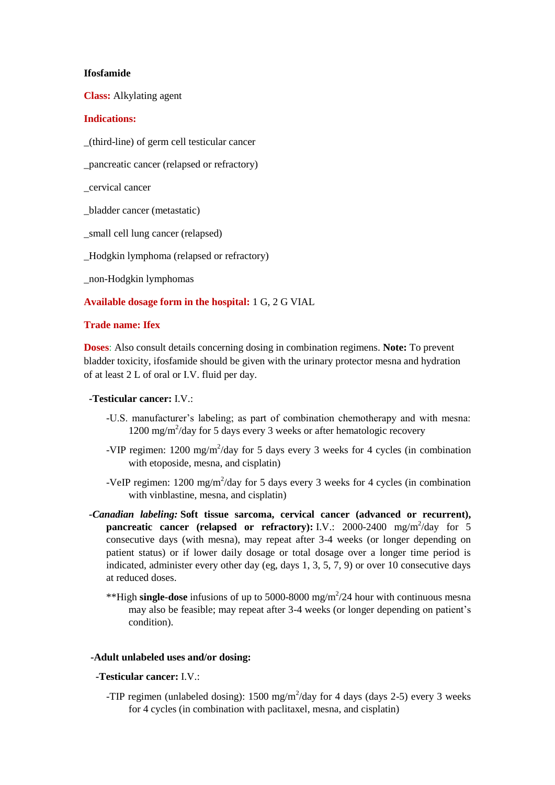#### **Ifosfamide**

**Class:** Alkylating agent

## **Indications:**

\_(third-line) of germ cell testicular cancer

\_pancreatic cancer (relapsed or refractory)

\_cervical cancer

\_bladder cancer (metastatic)

\_small cell lung cancer (relapsed)

\_Hodgkin lymphoma (relapsed or refractory)

\_non-Hodgkin lymphomas

## **Available dosage form in the hospital:** 1 G, 2 G VIAL

## **Trade name: Ifex**

**Doses**: Also consult details concerning dosing in combination regimens. **Note:** To prevent bladder toxicity, ifosfamide should be given with the urinary protector mesna and hydration of at least 2 L of oral or I.V. fluid per day.

#### **-Testicular cancer:** I.V.:

- -U.S. manufacturer's labeling; as part of combination chemotherapy and with mesna: 1200 mg/m<sup>2</sup>/day for 5 days every 3 weeks or after hematologic recovery
- -VIP regimen:  $1200 \text{ mg/m}^2/\text{day}$  for 5 days every 3 weeks for 4 cycles (in combination with etoposide, mesna, and cisplatin)
- -VeIP regimen:  $1200 \text{ mg/m}^2/\text{day}$  for 5 days every 3 weeks for 4 cycles (in combination with vinblastine, mesna, and cisplatin)
- *-Canadian labeling:* **Soft tissue sarcoma, cervical cancer (advanced or recurrent), pancreatic cancer (relapsed or refractory):** I.V.:  $2000-2400$  mg/m<sup>2</sup>/day for 5 consecutive days (with mesna), may repeat after 3-4 weeks (or longer depending on patient status) or if lower daily dosage or total dosage over a longer time period is indicated, administer every other day (eg, days 1, 3, 5, 7, 9) or over 10 consecutive days at reduced doses.
	- \*\*High **single-dose** infusions of up to 5000-8000 mg/m<sup>2</sup>/24 hour with continuous mesna may also be feasible; may repeat after 3-4 weeks (or longer depending on patient's condition).

# **-Adult unlabeled uses and/or dosing:**

#### **-Testicular cancer:** I.V.:

-TIP regimen (unlabeled dosing):  $1500 \text{ mg/m}^2/\text{day}$  for 4 days (days 2-5) every 3 weeks for 4 cycles (in combination with paclitaxel, mesna, and cisplatin)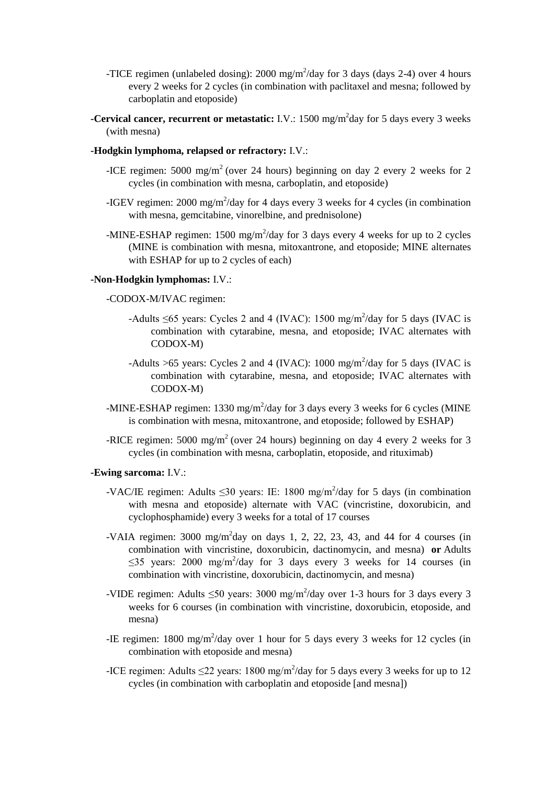- -TICE regimen (unlabeled dosing): 2000 mg/m<sup>2</sup>/day for 3 days (days 2-4) over 4 hours every 2 weeks for 2 cycles (in combination with paclitaxel and mesna; followed by carboplatin and etoposide)
- **-Cervical cancer, recurrent or metastatic:** I.V.: 1500 mg/m<sup>2</sup>day for 5 days every 3 weeks (with mesna)
- **-Hodgkin lymphoma, relapsed or refractory:** I.V.:
	- -ICE regimen:  $5000 \text{ mg/m}^2$  (over 24 hours) beginning on day 2 every 2 weeks for 2 cycles (in combination with mesna, carboplatin, and etoposide)
	- -IGEV regimen:  $2000 \text{ mg/m}^2/\text{day}$  for 4 days every 3 weeks for 4 cycles (in combination with mesna, gemcitabine, vinorelbine, and prednisolone)
	- -MINE-ESHAP regimen:  $1500 \text{ mg/m}^2/\text{day}$  for 3 days every 4 weeks for up to 2 cycles (MINE is combination with mesna, mitoxantrone, and etoposide; MINE alternates with ESHAP for up to 2 cycles of each)

## **-Non-Hodgkin lymphomas:** I.V.:

#### -CODOX-M/IVAC regimen:

- -Adults  $\leq 65$  years: Cycles 2 and 4 (IVAC): 1500 mg/m<sup>2</sup>/day for 5 days (IVAC is combination with cytarabine, mesna, and etoposide; IVAC alternates with CODOX-M)
- -Adults >65 years: Cycles 2 and 4 (IVAC): 1000 mg/m<sup>2</sup>/day for 5 days (IVAC is combination with cytarabine, mesna, and etoposide; IVAC alternates with CODOX-M)
- -MINE-ESHAP regimen: 1330 mg/m<sup>2</sup>/day for 3 days every 3 weeks for 6 cycles (MINE) is combination with mesna, mitoxantrone, and etoposide; followed by ESHAP)
- -RICE regimen: 5000 mg/m<sup>2</sup> (over 24 hours) beginning on day 4 every 2 weeks for 3 cycles (in combination with mesna, carboplatin, etoposide, and rituximab)

#### **-Ewing sarcoma:** I.V.:

- -VAC/IE regimen: Adults  $\leq 30$  years: IE: 1800 mg/m<sup>2</sup>/day for 5 days (in combination with mesna and etoposide) alternate with VAC (vincristine, doxorubicin, and cyclophosphamide) every 3 weeks for a total of 17 courses
- -VAIA regimen:  $3000 \text{ mg/m}^2$ day on days 1, 2, 22, 23, 43, and 44 for 4 courses (in combination with vincristine, doxorubicin, dactinomycin, and mesna) **or** Adults  $\leq$ 35 years: 2000 mg/m<sup>2</sup>/day for 3 days every 3 weeks for 14 courses (in combination with vincristine, doxorubicin, dactinomycin, and mesna)
- -VIDE regimen: Adults  $\leq 50$  years: 3000 mg/m<sup>2</sup>/day over 1-3 hours for 3 days every 3 weeks for 6 courses (in combination with vincristine, doxorubicin, etoposide, and mesna)
- -IE regimen: 1800 mg/m<sup>2</sup>/day over 1 hour for 5 days every 3 weeks for 12 cycles (in combination with etoposide and mesna)
- -ICE regimen: Adults  $\leq$ 22 years: 1800 mg/m<sup>2</sup>/day for 5 days every 3 weeks for up to 12 cycles (in combination with carboplatin and etoposide [and mesna])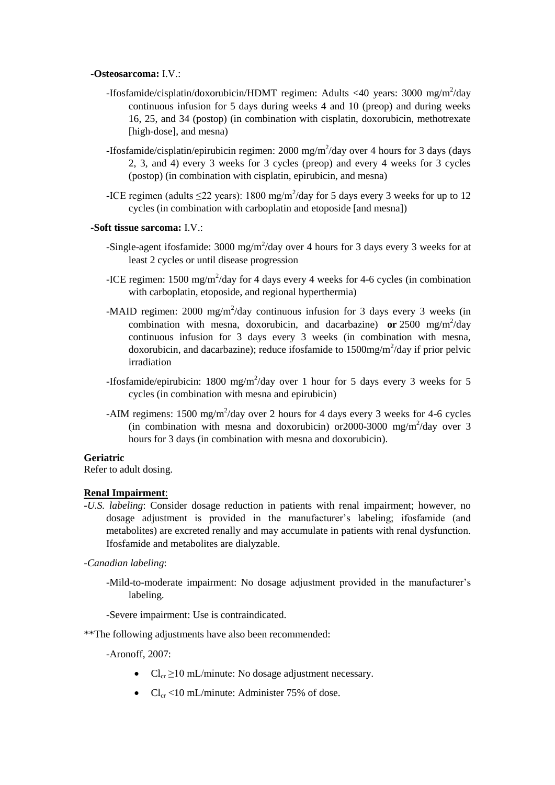### **-Osteosarcoma:** I.V.:

- -Ifosfamide/cisplatin/doxorubicin/HDMT regimen: Adults <40 years: 3000 mg/m<sup>2</sup>/day continuous infusion for 5 days during weeks 4 and 10 (preop) and during weeks 16, 25, and 34 (postop) (in combination with cisplatin, doxorubicin, methotrexate [high-dose], and mesna)
- -Ifosfamide/cisplatin/epirubicin regimen: 2000 mg/m<sup>2</sup>/day over 4 hours for 3 days (days 2, 3, and 4) every 3 weeks for 3 cycles (preop) and every 4 weeks for 3 cycles (postop) (in combination with cisplatin, epirubicin, and mesna)
- -ICE regimen (adults  $\leq$ 22 years): 1800 mg/m<sup>2</sup>/day for 5 days every 3 weeks for up to 12 cycles (in combination with carboplatin and etoposide [and mesna])

### **-Soft tissue sarcoma:** I.V.:

- -Single-agent ifosfamide:  $3000 \text{ mg/m}^2/\text{day}$  over 4 hours for 3 days every 3 weeks for at least 2 cycles or until disease progression
- -ICE regimen: 1500 mg/m<sup>2</sup>/day for 4 days every 4 weeks for 4-6 cycles (in combination with carboplatin, etoposide, and regional hyperthermia)
- -MAID regimen: 2000 mg/m<sup>2</sup>/day continuous infusion for 3 days every 3 weeks (in combination with mesna, doxorubicin, and dacarbazine) or  $2500 \text{ mg/m}^2/\text{day}$ continuous infusion for 3 days every 3 weeks (in combination with mesna, doxorubicin, and dacarbazine); reduce ifosfamide to  $1500$ mg/m<sup>2</sup>/day if prior pelvic irradiation
- -Ifosfamide/epirubicin: 1800 mg/m<sup>2</sup>/day over 1 hour for 5 days every 3 weeks for 5 cycles (in combination with mesna and epirubicin)
- -AIM regimens:  $1500 \text{ mg/m}^2/\text{day}$  over 2 hours for 4 days every 3 weeks for 4-6 cycles (in combination with mesna and doxorubicin) or 2000-3000 mg/m<sup>2</sup>/day over 3 hours for 3 days (in combination with mesna and doxorubicin).

## **Geriatric**

Refer to adult dosing.

## **Renal Impairment**:

- -*U.S. labeling*: Consider dosage reduction in patients with renal impairment; however, no dosage adjustment is provided in the manufacturer's labeling; ifosfamide (and metabolites) are excreted renally and may accumulate in patients with renal dysfunction. Ifosfamide and metabolites are dialyzable.
- *-Canadian labeling*:
	- -Mild-to-moderate impairment: No dosage adjustment provided in the manufacturer's labeling.
	- -Severe impairment: Use is contraindicated.
- \*\*The following adjustments have also been recommended:

-Aronoff, 2007:

- $Cl_{cr} \geq 10 \text{ mL/minute}$ : No dosage adjustment necessary.
- $Cl_{cr}$  <10 mL/minute: Administer 75% of dose.